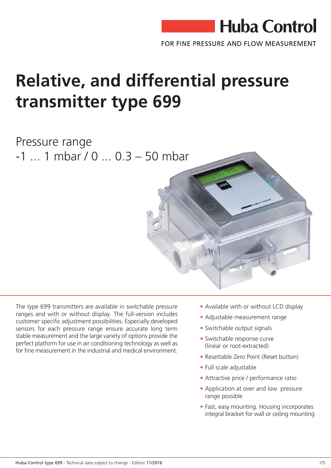

FOR FINE PRESSURE AND FLOW MEASUREMENT

# **Relative, and differential pressure** transmitter type 699

Pressure range  $-1$  ... 1 mbar / 0 ... 0.3 - 50 mbar

The type 699 transmitters are available in switchable pressure ranges and with or without display. The full-version includes customer specific adjustment possibilities. Especially developed sensors for each pressure range ensure accurate long term stable measurement and the large variety of options provide the perfect platform for use in air conditioning technology as well as for fine measurement in the industrial and medical environment.

- Available with or without LCD display
- · Adjustable measurement range
- Switchable output signals
- · Switchable response curve (linear or root-extracted)
- Resettable Zero Point (Reset button)
- Full scale adjustable
- · Attractive price / performance ratio
- Application at over and low pressure range possible
- Fast, easy mounting. Housing incorporates integral bracket for wall or ceiling mounting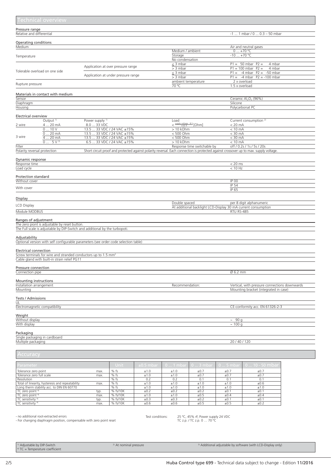| Fechnical overview                                                                                                           |                            |                                     |                |                                            |                             |                        |                                                                                                                                        |  |
|------------------------------------------------------------------------------------------------------------------------------|----------------------------|-------------------------------------|----------------|--------------------------------------------|-----------------------------|------------------------|----------------------------------------------------------------------------------------------------------------------------------------|--|
| Pressure range                                                                                                               |                            |                                     |                |                                            |                             |                        |                                                                                                                                        |  |
| Relative and differential                                                                                                    |                            |                                     |                |                                            |                             |                        | $-1$ 1 mbar / 0  0.3 - 50 mbar                                                                                                         |  |
|                                                                                                                              |                            |                                     |                |                                            |                             |                        |                                                                                                                                        |  |
| Operating conditions<br>Medium                                                                                               |                            |                                     |                |                                            |                             |                        | Air and neutral gases                                                                                                                  |  |
|                                                                                                                              |                            |                                     |                | Medium / ambient                           |                             |                        | $0+70 °C$                                                                                                                              |  |
| Temperature                                                                                                                  |                            |                                     |                | Storage                                    |                             | $-10+70$ °C            |                                                                                                                                        |  |
|                                                                                                                              |                            |                                     |                | No condensation                            |                             |                        |                                                                                                                                        |  |
|                                                                                                                              |                            | Application at over pressure range  |                | $\leq$ 3 mbar                              |                             |                        | $P1 = 50$ mbar $P2 =$<br>4 mbar<br>$P1 = 100$ mbar $P2 =$                                                                              |  |
| Tolerable overload on one side                                                                                               |                            |                                     |                | $> 3$ mbar<br>$\leq$ 3 mbar                |                             |                        | 4 mbar<br>$P1 = -4$ mbar $P2 = -50$ mbar                                                                                               |  |
|                                                                                                                              |                            | Application at under pressure range |                | $> 3$ mbar                                 |                             |                        | $P1 = -4$ mbar $P2 = -100$ mbar                                                                                                        |  |
|                                                                                                                              |                            |                                     |                | ambient temperature                        |                             |                        | 2 x overload                                                                                                                           |  |
| Rupture pressure                                                                                                             |                            |                                     |                | 70 °C                                      |                             | 1.5 x overload         |                                                                                                                                        |  |
|                                                                                                                              |                            |                                     |                |                                            |                             |                        |                                                                                                                                        |  |
| Materials in contact with medium<br>Sensor                                                                                   |                            |                                     |                |                                            |                             |                        | Ceramic Al <sub>2</sub> O <sub>3</sub> (96%)                                                                                           |  |
| Diaphragm                                                                                                                    |                            |                                     |                |                                            |                             | Silicone               |                                                                                                                                        |  |
| Housing                                                                                                                      |                            |                                     |                |                                            |                             |                        | Polycarbonat PC                                                                                                                        |  |
|                                                                                                                              |                            |                                     |                |                                            |                             |                        |                                                                                                                                        |  |
| <b>Electrical overview</b>                                                                                                   |                            |                                     |                |                                            |                             |                        |                                                                                                                                        |  |
| Output <sup>1)</sup>                                                                                                         | Power supply <sup>1)</sup> |                                     |                | Load                                       |                             |                        | Current consumption <sup>2)</sup>                                                                                                      |  |
| 4  20 mA<br>2 wire<br>010V                                                                                                   | 8.0  33 VDC                | 13.5  33 VDC / 24 VAC ±15%          |                | < Supply voltage - 8 V [Ohm]<br>$>10$ kOhm |                             | $< 20$ mA<br>$< 10$ mA |                                                                                                                                        |  |
| 020mA                                                                                                                        |                            | 13.5  33 VDC / 24 VAC ±15%          |                | < 500 Ohm                                  |                             | $<$ 30 mA              |                                                                                                                                        |  |
| 3 wire<br>4  20 mA                                                                                                           |                            | 13.5  33 VDC / 24 VAC ±15%          |                | < 500 Ohm                                  |                             | $<$ 30 mA              |                                                                                                                                        |  |
| $0 5V^{3}$                                                                                                                   |                            | 6.5  33 VDC / 24 VAC ±15%           |                | $> 10$ kOhm                                |                             | $< 10$ mA              |                                                                                                                                        |  |
| Filter                                                                                                                       |                            |                                     |                |                                            | Response time switchable by |                        | off / 0.2s / 1s / 5s / 20s                                                                                                             |  |
| Polarity reversal protection                                                                                                 |                            |                                     |                |                                            |                             |                        | Short circuit proof and protected against polarity reversal. Each connection is protected against crossover up to max. supply voltage. |  |
|                                                                                                                              |                            |                                     |                |                                            |                             |                        |                                                                                                                                        |  |
| Dynamic response                                                                                                             |                            |                                     |                |                                            |                             |                        |                                                                                                                                        |  |
| Response time<br>Load cycle                                                                                                  |                            |                                     |                |                                            |                             | $< 20$ ms<br>$< 10$ Hz |                                                                                                                                        |  |
|                                                                                                                              |                            |                                     |                |                                            |                             |                        |                                                                                                                                        |  |
| Protection standard                                                                                                          |                            |                                     |                |                                            |                             |                        |                                                                                                                                        |  |
| Without cover                                                                                                                |                            |                                     |                |                                            |                             | <b>IP 00</b>           |                                                                                                                                        |  |
| With cover                                                                                                                   |                            |                                     |                |                                            |                             | IP 54                  |                                                                                                                                        |  |
|                                                                                                                              |                            |                                     |                |                                            |                             | IP 65                  |                                                                                                                                        |  |
| Display                                                                                                                      |                            |                                     |                |                                            |                             |                        |                                                                                                                                        |  |
|                                                                                                                              |                            |                                     |                | Double spaced                              |                             |                        | per 8 digit alphanumeric                                                                                                               |  |
| <b>LCD Display</b>                                                                                                           |                            |                                     |                |                                            |                             |                        | At additional backlight LCD-Display 30 mA current consumption                                                                          |  |
| Module MODBUS                                                                                                                |                            |                                     |                |                                            |                             | RTU RS-485             |                                                                                                                                        |  |
|                                                                                                                              |                            |                                     |                |                                            |                             |                        |                                                                                                                                        |  |
| Ranges of adjustment                                                                                                         |                            |                                     |                |                                            |                             |                        |                                                                                                                                        |  |
| The zero piont is adjustable by reset button.<br>The Full scale is adjustable by DIP-Switch and additional by the turbopoti. |                            |                                     |                |                                            |                             |                        |                                                                                                                                        |  |
|                                                                                                                              |                            |                                     |                |                                            |                             |                        |                                                                                                                                        |  |
| Adjustability                                                                                                                |                            |                                     |                |                                            |                             |                        |                                                                                                                                        |  |
| Optional version with self configurable parameters (see order code selection table)                                          |                            |                                     |                |                                            |                             |                        |                                                                                                                                        |  |
|                                                                                                                              |                            |                                     |                |                                            |                             |                        |                                                                                                                                        |  |
| <b>Electrical connection</b>                                                                                                 |                            |                                     |                |                                            |                             |                        |                                                                                                                                        |  |
| Screw terminals for wire and stranded conductors up to 1.5 mm <sup>2</sup><br>Cable gland with built-in strain relief PG11   |                            |                                     |                |                                            |                             |                        |                                                                                                                                        |  |
|                                                                                                                              |                            |                                     |                |                                            |                             |                        |                                                                                                                                        |  |
| Pressure connection                                                                                                          |                            |                                     |                |                                            |                             |                        |                                                                                                                                        |  |
| Connection pipe                                                                                                              |                            |                                     |                |                                            |                             | Ø 6.2 mm               |                                                                                                                                        |  |
|                                                                                                                              |                            |                                     |                |                                            |                             |                        |                                                                                                                                        |  |
| Mounting instructions                                                                                                        |                            |                                     |                |                                            |                             |                        |                                                                                                                                        |  |
| Installation arrangement                                                                                                     |                            |                                     |                | Recommendation:                            |                             |                        | Vertical, with pressure connections downwards                                                                                          |  |
| Mounting                                                                                                                     |                            |                                     |                |                                            |                             |                        | Mounting bracket (integrated in case)                                                                                                  |  |
| <b>Tests / Admissions</b>                                                                                                    |                            |                                     |                |                                            |                             |                        |                                                                                                                                        |  |
| ŪL                                                                                                                           |                            |                                     |                |                                            |                             |                        |                                                                                                                                        |  |
| Electromagnetic compatibility                                                                                                |                            |                                     |                |                                            |                             |                        | CE-conformity acc. EN 61326-2-3                                                                                                        |  |
|                                                                                                                              |                            |                                     |                |                                            |                             |                        |                                                                                                                                        |  |
| Weight                                                                                                                       |                            |                                     |                |                                            |                             |                        |                                                                                                                                        |  |
| Without display<br>With display                                                                                              |                            |                                     |                |                                            |                             | $~\sim~90$ g<br>~100q  |                                                                                                                                        |  |
|                                                                                                                              |                            |                                     |                |                                            |                             |                        |                                                                                                                                        |  |
| Packaging                                                                                                                    |                            |                                     |                |                                            |                             |                        |                                                                                                                                        |  |
| Single packaging in cardboard                                                                                                |                            |                                     |                |                                            |                             |                        |                                                                                                                                        |  |
| Multiple packaging                                                                                                           |                            |                                     |                |                                            |                             | 20 / 40 / 120          |                                                                                                                                        |  |
|                                                                                                                              |                            |                                     |                |                                            |                             |                        |                                                                                                                                        |  |
|                                                                                                                              |                            |                                     |                |                                            |                             |                        |                                                                                                                                        |  |
| Accuracy                                                                                                                     |                            |                                     |                |                                            |                             |                        |                                                                                                                                        |  |
|                                                                                                                              |                            |                                     |                |                                            |                             |                        |                                                                                                                                        |  |
| Parameter                                                                                                                    |                            | Unit                                | $\pm 0.5$ mbar | $01$ mbar                                  | $0$ 3 mbar                  | 0  5 mba               | 0  10 - 50 mbar                                                                                                                        |  |
| Tolerance zero point                                                                                                         | max.                       | % fs                                | ±1.0           | $\pm 1.0$                                  | ±0.7                        | ±0.7                   | ±0.7                                                                                                                                   |  |
| Tolerance zero full scale<br>Resolution                                                                                      | max.                       | $%$ fs<br>$%$ fs                    | ±1.0<br>0.2    | ±1.0<br>0.2                                | ±0.7<br>0.1                 | ±0.7<br>0.1            | ±0.7<br>0.1                                                                                                                            |  |

Total of linearity, hysteresis and repeatability max. % fs  $\frac{10}{2}$  at 1.0  $\frac{11.0}{2}$  at 1.0  $\frac{11.0}{2}$  at 1.0  $\frac{11.0}{2}$  at 1.0  $\frac{11.0}{2}$  at 1.0  $\frac{11.0}{2}$  at 1.0  $\frac{11.0}{2}$  at 1.0  $\frac{11.0}{2}$  at 1.0  $\frac{$ TC zero point <sup>4)</sup> typ. |% fs/10K | ±0.2 | ±0.2 | ±0.2 | ±0.1 | ±0.1 TC zero point  $^{4}$  and the set of the max.  $\left[\begin{array}{ccc} \% \text{ fs/10K} & \pm 1.0 \end{array}\right]$  to  $\left[\begin{array}{ccc} \pm 1.0 & \pm 1.0 \end{array}\right]$  to  $\pm 0.4$  and  $\pm 0.4$ TC sensitivity <sup>4)</sup> typ. | % fs/10K | ±0.3 | ±0.3 | ±0.2 | ±0.1 | ±0.1 ±0.1 TC sensitivity <sup>4)</sup> max. | % fs/10K | ±0.6 | ±0.6 | ±0.5 | ±0.2

- no additional root-extracted errors

- For changing diaphragm position, compensable with zero point reset

Test conditions:  $25 \text{ °C}$ , 45% rF, Power supply 24 VDC<br>TC z.p. / TC z.p. 0  $\ldots$  70 °C

<sup>2)</sup> At nominal pressure 3) Additional adjustable by software (with LCD-Display only) <sup>1)</sup> Adjustable by DIP-Switch<br><sup>4)</sup> TC = Temperature coefficient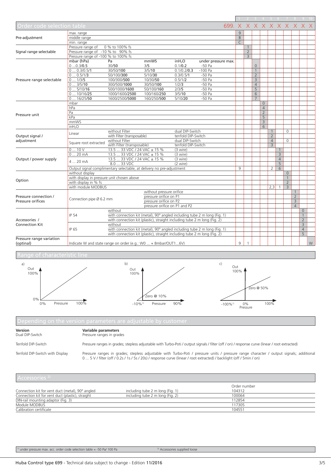| Order code selection table                                   |                                                                                                                                                      |                                                                                                                                                      |                          |                     | 699. X X X X X X X X X X |                |                |                |                |                |                |                |                |                |   |
|--------------------------------------------------------------|------------------------------------------------------------------------------------------------------------------------------------------------------|------------------------------------------------------------------------------------------------------------------------------------------------------|--------------------------|---------------------|--------------------------|----------------|----------------|----------------|----------------|----------------|----------------|----------------|----------------|----------------|---|
|                                                              | max. range                                                                                                                                           |                                                                                                                                                      |                          |                     |                          | 9              |                |                |                |                |                |                |                |                |   |
| Pre-adjustment                                               | middle range                                                                                                                                         |                                                                                                                                                      |                          |                     |                          | B              |                |                |                |                |                |                |                |                |   |
|                                                              | min. range                                                                                                                                           |                                                                                                                                                      |                          |                     |                          |                |                |                |                |                |                |                |                |                |   |
|                                                              | Pressure range of                                                                                                                                    | 0 % to 100% fs                                                                                                                                       |                          |                     |                          |                | $\mathbf{1}$   |                |                |                |                |                |                |                |   |
| Pressure range of -10 % to 90% fs<br>Signal range selectable |                                                                                                                                                      |                                                                                                                                                      |                          |                     |                          | $\overline{2}$ |                |                |                |                |                |                |                |                |   |
|                                                              | Pressure range of -100 % to 100% fs                                                                                                                  |                                                                                                                                                      |                          |                     |                          |                | $\overline{3}$ |                |                |                |                |                |                |                |   |
|                                                              | mbar (hPa)                                                                                                                                           | Pa                                                                                                                                                   | mmWS                     | in H <sub>2</sub> O | under pressure max.      |                |                |                |                |                |                |                |                |                |   |
|                                                              | 00.3/0.5                                                                                                                                             | 30/50                                                                                                                                                | 3/5                      | 0.1/0.2             | $-50$ Pa                 |                |                | $\circ$        |                |                |                |                |                |                |   |
|                                                              | 0 0.3/0.5/1                                                                                                                                          | 30/50/100                                                                                                                                            | 3/5/10                   | 0.1/0.2/0.3         | $-100$ Pa                |                |                | $\mathbf{1}$   |                |                |                |                |                |                |   |
|                                                              | 0 0.5/1/3                                                                                                                                            | 50/100/300                                                                                                                                           | 5/10/30                  | 0.3/0.5/1           | $-50$ Pa                 |                |                | $\overline{2}$ |                |                |                |                |                |                |   |
| Pressure range selectable                                    | 0 1/3/5                                                                                                                                              | 100/300/500                                                                                                                                          | 10/30/50                 | 0.5/1/2             | $-50$ Pa                 |                |                | 3              |                |                |                |                |                |                |   |
|                                                              | 03/5/10                                                                                                                                              | 300/500/1000                                                                                                                                         | 30/50/100                | 1/2/3               | $-50$ Pa                 |                |                | $\overline{4}$ |                |                |                |                |                |                |   |
|                                                              | 05/10/16                                                                                                                                             | 500/1000/1600                                                                                                                                        | 50/100/160               | 2/3/5               | $-50$ Pa                 |                |                | 5              |                |                |                |                |                |                |   |
|                                                              | 010/16/25                                                                                                                                            | 1000/1600/2500                                                                                                                                       | 100/160/250              | 3/5/10              | $-50$ Pa                 |                |                | 6              |                |                |                |                |                |                |   |
|                                                              | 016/25/50                                                                                                                                            | 1600/2500/5000                                                                                                                                       | 160/250/500              | 5/10/20             | $-50$ Pa                 |                |                | $7^{\circ}$    |                |                |                |                |                |                |   |
|                                                              | mbar                                                                                                                                                 |                                                                                                                                                      |                          |                     |                          |                |                |                | $\Omega$       |                |                |                |                |                |   |
|                                                              | hPa                                                                                                                                                  |                                                                                                                                                      |                          |                     |                          |                |                |                | $\overline{4}$ |                |                |                |                |                |   |
|                                                              | Pa                                                                                                                                                   |                                                                                                                                                      |                          |                     |                          |                |                |                | $\overline{2}$ |                |                |                |                |                |   |
| Pressure unit                                                | kPa                                                                                                                                                  |                                                                                                                                                      |                          |                     |                          |                |                |                | 5              |                |                |                |                |                |   |
|                                                              | mmWS                                                                                                                                                 |                                                                                                                                                      |                          |                     |                          |                |                |                | $\overline{3}$ |                |                |                |                |                |   |
|                                                              | in H <sub>2</sub> O                                                                                                                                  |                                                                                                                                                      |                          |                     |                          |                |                |                | 6              |                |                |                |                |                |   |
|                                                              |                                                                                                                                                      | without Filter<br>dual DIP-Switch                                                                                                                    |                          |                     |                          |                |                |                |                | $\circ$        |                |                |                |                |   |
| Output signal /                                              | Linear                                                                                                                                               | with Filter (transposable)                                                                                                                           |                          | tenfold DIP-Switch  |                          |                |                |                |                | $2^{\circ}$    |                |                |                |                |   |
| adjustment                                                   |                                                                                                                                                      | dual DIP-Switch<br>without Filter                                                                                                                    |                          |                     |                          |                |                |                |                | $\overline{4}$ |                | $\circ$        |                |                |   |
|                                                              | Square root extracted                                                                                                                                | with Filter (transposable)                                                                                                                           |                          | tenfold DIP-Switch  |                          |                |                |                |                | $\overline{3}$ |                |                |                |                |   |
|                                                              | 010V                                                                                                                                                 | 13.5  33 VDC / 24 VAC ± 15 %                                                                                                                         |                          | (3 wire)            |                          |                |                |                |                |                | $\mathbf{1}$   |                |                |                |   |
|                                                              | 020mA                                                                                                                                                | 13.5  33 VDC / 24 VAC ± 15 %                                                                                                                         |                          | (3 wire)            |                          |                |                |                |                |                | $\overline{3}$ |                |                |                |   |
| Output / power supply                                        |                                                                                                                                                      | 13.5  33 VDC / 24 VAC ± 15 %                                                                                                                         |                          | (3 wire)            |                          |                |                |                |                |                | $\overline{4}$ |                |                |                |   |
|                                                              | 4  20 mA                                                                                                                                             | 8.0  33 VDC                                                                                                                                          |                          | (2 wire)            |                          |                |                |                |                |                | 5              |                |                |                |   |
|                                                              | Output signal complimentary selectable, at delivery no pre-adjustment                                                                                |                                                                                                                                                      |                          |                     |                          | 9              |                |                |                | 2              | 6              |                |                |                |   |
| without display                                              |                                                                                                                                                      |                                                                                                                                                      |                          |                     |                          |                |                | $\circ$        |                |                |                |                |                |                |   |
|                                                              | with display in pressure unit chosen above                                                                                                           |                                                                                                                                                      |                          |                     |                          |                |                |                |                |                |                | $\mathbf{1}$   |                |                |   |
| Option                                                       | with display in % fs                                                                                                                                 |                                                                                                                                                      |                          |                     |                          |                |                |                |                |                |                | $\overline{2}$ |                |                |   |
|                                                              | with module MODBUS                                                                                                                                   |                                                                                                                                                      |                          |                     |                          |                |                |                |                | 2,3            | $\overline{1}$ | 3              |                |                |   |
| Pressure connection /<br>Pressure orifices                   |                                                                                                                                                      |                                                                                                                                                      | without pressure orifice |                     |                          |                |                |                |                |                |                |                | $\mathbf{1}$   |                |   |
|                                                              | pressure orifice on P1<br>Connection pipe Ø 6.2 mm<br>pressure orifice on P2                                                                         |                                                                                                                                                      |                          |                     |                          |                |                |                |                |                |                |                | $\overline{2}$ |                |   |
|                                                              |                                                                                                                                                      |                                                                                                                                                      |                          |                     |                          |                |                |                |                |                |                |                | $\overline{3}$ |                |   |
|                                                              | pressure orifice on P1 and P2                                                                                                                        |                                                                                                                                                      |                          |                     |                          |                |                |                |                |                |                | $\overline{4}$ |                |                |   |
|                                                              |                                                                                                                                                      | without                                                                                                                                              |                          |                     |                          |                |                |                |                |                |                |                |                | $\overline{0}$ |   |
| Accessories /<br><b>Connection Kit</b>                       | IP 54                                                                                                                                                |                                                                                                                                                      |                          |                     |                          |                |                |                |                |                |                |                |                | $\mathbf{1}$   |   |
|                                                              | with connection kit (metal), 90° angled including tube 2 m long (Fig. 1)<br>with connection kit (plastic), straight including tube 2 m long (Fig. 2) |                                                                                                                                                      |                          |                     |                          |                |                |                |                |                |                |                |                | $\overline{2}$ |   |
|                                                              | without                                                                                                                                              |                                                                                                                                                      |                          |                     |                          |                |                |                |                |                |                |                |                | $\overline{3}$ |   |
|                                                              | IP 65                                                                                                                                                |                                                                                                                                                      |                          |                     |                          |                |                |                |                |                |                |                |                | $\overline{4}$ |   |
|                                                              |                                                                                                                                                      | with connection kit (metal), 90° angled including tube 2 m long (Fig. 1)<br>with connection kit (plastic), straight including tube 2 m long (Fig. 2) |                          |                     |                          |                |                |                |                |                |                |                |                | 5              |   |
| Pressure range variation                                     |                                                                                                                                                      |                                                                                                                                                      |                          |                     |                          |                |                |                |                |                |                |                |                |                |   |
| (optinal)                                                    | Indicate W and state range on order (e.g.: WO  + 8mbar/OUT16V)                                                                                       |                                                                                                                                                      |                          |                     |                          | 9              | $\mathbf{1}$   |                |                |                |                |                |                |                | W |
|                                                              |                                                                                                                                                      |                                                                                                                                                      |                          |                     |                          |                |                |                |                |                |                |                |                |                |   |



| <b>Version</b>  | Variable parameters       |
|-----------------|---------------------------|
| Dual DIP-Switch | Pressure ranges in grades |

Tenfold DIP-Switch

Pressure ranges in grades; stepless adjustable with Turbo-Poti / output signals / filter (off / on) / response curve (linear / root extracted)

Tenfold DIP-Switch with Display Pressure ranges in grades; stepless adjustable with Turbo-Poti / pressure units / pressure range character / output signals; additional 0 ... 5 V / filter (off / 0.2s / 1s / 5s / 20s) / response curve (linear / root extracted) / backlight (off / 5min / on)

| Accessories <sup>2)</sup>                        |                                  |              |  |  |  |  |  |
|--------------------------------------------------|----------------------------------|--------------|--|--|--|--|--|
|                                                  |                                  | Order number |  |  |  |  |  |
| Connection kit for vent duct (metal), 90° angled | including tube 2 m long (Fig. 1) | 104312       |  |  |  |  |  |
| Connection kit for vent duct (plastic), straight | including tube 2 m long (Fig. 2) | 100064       |  |  |  |  |  |
| DIN-rail mounting adaptor (Fig. 3)               |                                  | 112854       |  |  |  |  |  |
| Module MODBUS                                    |                                  | 117305       |  |  |  |  |  |
| Calibration certificate                          |                                  | 104551       |  |  |  |  |  |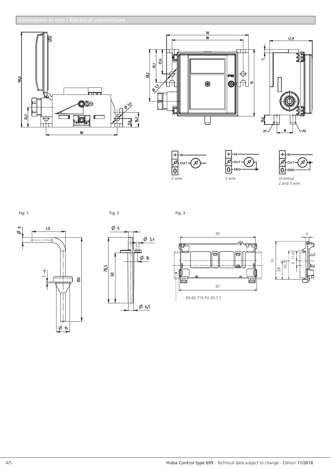





 $\ddot{}$ |∡  $\overline{\mathsf{0}}$ 2 wire 3 wire





Universal 2 and 3 wire





Fig. 1 Fig. 2 Fig. 3